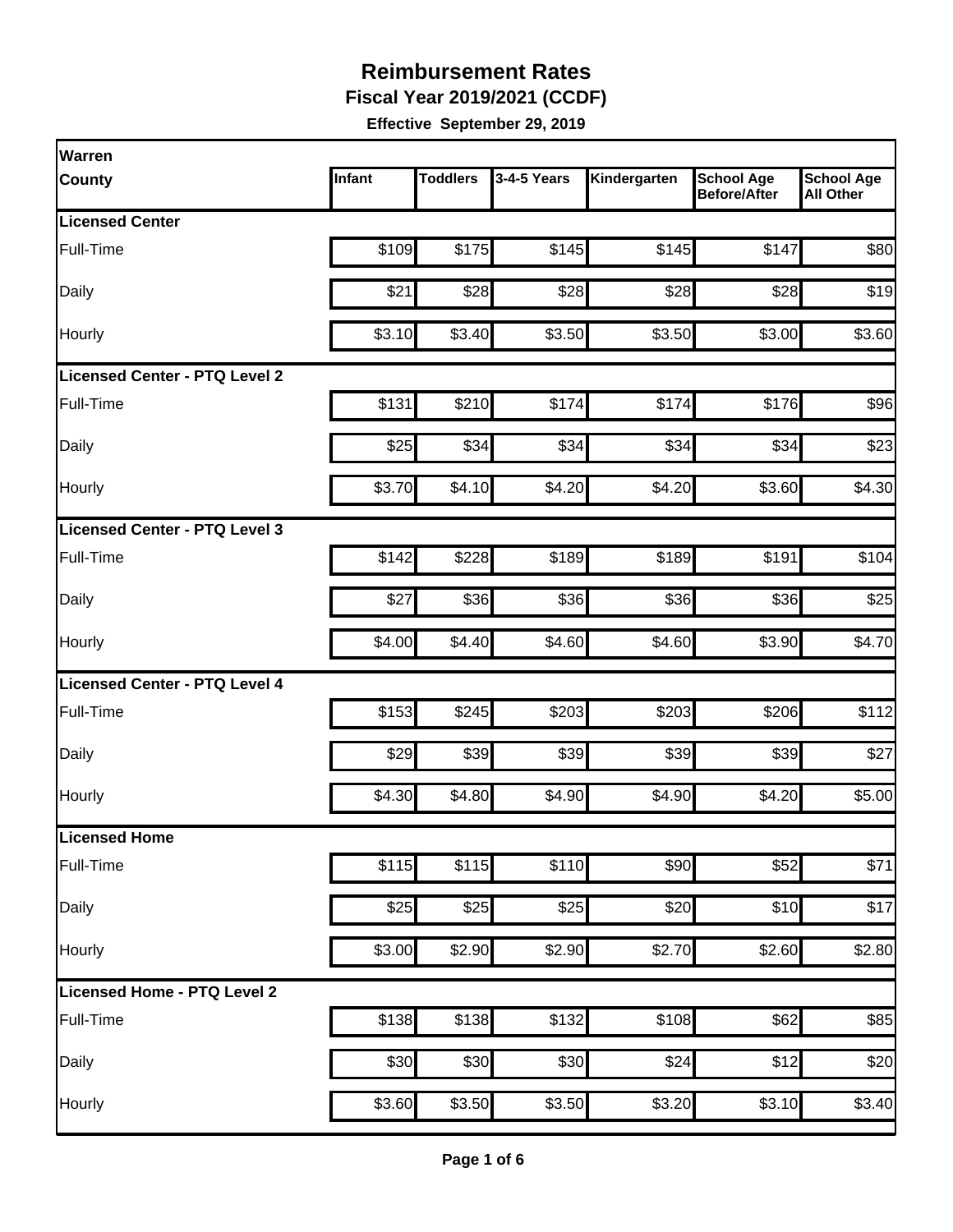**Fiscal Year 2019/2021 (CCDF)**

| <b>Warren</b>                 |        |                    |             |              |                                          |                                       |
|-------------------------------|--------|--------------------|-------------|--------------|------------------------------------------|---------------------------------------|
| <b>County</b>                 | Infant | <b>Toddlers</b>    | 3-4-5 Years | Kindergarten | <b>School Age</b><br><b>Before/After</b> | <b>School Age</b><br><b>All Other</b> |
| <b>Licensed Center</b>        |        |                    |             |              |                                          |                                       |
| Full-Time                     | \$109  | \$175              | \$145       | \$145        | \$147                                    | \$80                                  |
| Daily                         | \$21   | \$28               | \$28        | \$28         | \$28                                     | \$19                                  |
| Hourly                        | \$3.10 | \$3.40             | \$3.50      | \$3.50       | \$3.00                                   | \$3.60                                |
| Licensed Center - PTQ Level 2 |        |                    |             |              |                                          |                                       |
| Full-Time                     | \$131  | \$210              | \$174       | \$174        | \$176                                    | \$96                                  |
| Daily                         | \$25   | \$34               | \$34        | \$34         | \$34                                     | \$23                                  |
| Hourly                        | \$3.70 | \$4.10             | \$4.20      | \$4.20       | \$3.60                                   | \$4.30                                |
| Licensed Center - PTQ Level 3 |        |                    |             |              |                                          |                                       |
| Full-Time                     | \$142  | \$228              | \$189       | \$189        | \$191                                    | \$104                                 |
| Daily                         | \$27   | \$36               | \$36        | \$36         | \$36                                     | \$25                                  |
| Hourly                        | \$4.00 | \$4.40             | \$4.60      | \$4.60       | \$3.90                                   | \$4.70                                |
| Licensed Center - PTQ Level 4 |        |                    |             |              |                                          |                                       |
| Full-Time                     | \$153  | \$245              | \$203       | \$203        | \$206                                    | \$112                                 |
| Daily                         | \$29   | \$39               | \$39        | \$39         | \$39                                     | \$27                                  |
| Hourly                        | \$4.30 | \$4.80             | \$4.90      | \$4.90       | \$4.20                                   | \$5.00                                |
| Licensed Home                 |        |                    |             |              |                                          |                                       |
| Full-Time                     | \$115  | \$115              | \$110       | \$90         | \$52                                     | \$71                                  |
| Daily                         | \$25   | \$25               | \$25        | \$20         | \$10                                     | \$17                                  |
| Hourly                        | \$3.00 | $\overline{$2.90}$ | \$2.90      | \$2.70       | \$2.60                                   | \$2.80                                |
| Licensed Home - PTQ Level 2   |        |                    |             |              |                                          |                                       |
| Full-Time                     | \$138  | \$138              | \$132       | \$108        | \$62                                     | \$85                                  |
| Daily                         | \$30   | \$30               | \$30        | \$24         | \$12                                     | \$20                                  |
| Hourly                        | \$3.60 | \$3.50             | \$3.50      | \$3.20       | \$3.10                                   | \$3.40                                |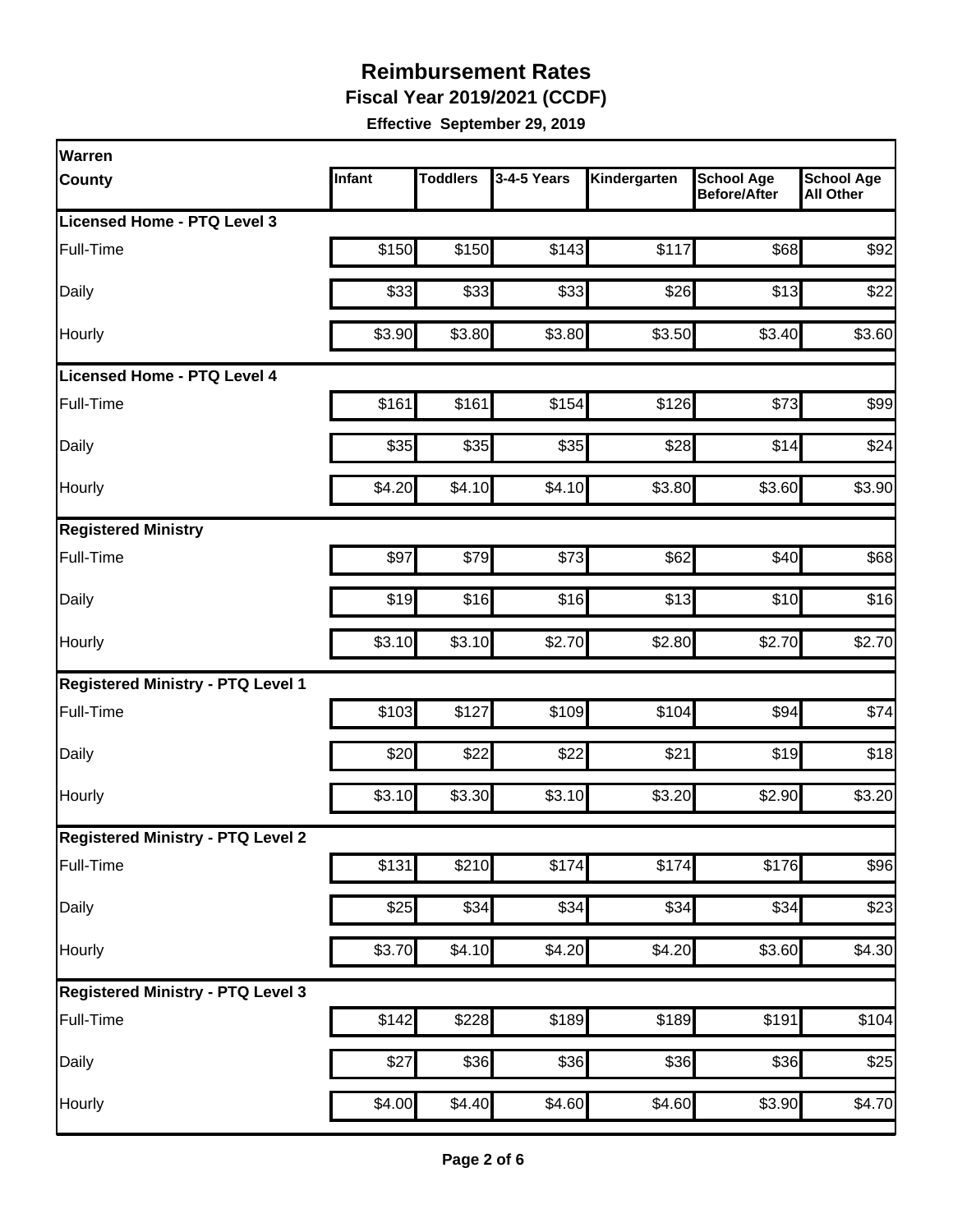**Fiscal Year 2019/2021 (CCDF)**

| <b>Warren</b>                            |        |                 |             |              |                                          |                                       |
|------------------------------------------|--------|-----------------|-------------|--------------|------------------------------------------|---------------------------------------|
| <b>County</b>                            | Infant | <b>Toddlers</b> | 3-4-5 Years | Kindergarten | <b>School Age</b><br><b>Before/After</b> | <b>School Age</b><br><b>All Other</b> |
| Licensed Home - PTQ Level 3              |        |                 |             |              |                                          |                                       |
| Full-Time                                | \$150  | \$150           | \$143       | \$117        | \$68                                     | \$92                                  |
| Daily                                    | \$33   | \$33            | \$33        | \$26         | \$13                                     | \$22                                  |
| Hourly                                   | \$3.90 | \$3.80          | \$3.80      | \$3.50       | \$3.40                                   | \$3.60                                |
| <b>Licensed Home - PTQ Level 4</b>       |        |                 |             |              |                                          |                                       |
| Full-Time                                | \$161  | \$161           | \$154       | \$126        | \$73                                     | \$99                                  |
| Daily                                    | \$35   | \$35            | \$35        | \$28         | \$14                                     | \$24                                  |
| Hourly                                   | \$4.20 | \$4.10          | \$4.10      | \$3.80       | \$3.60                                   | \$3.90                                |
| <b>Registered Ministry</b>               |        |                 |             |              |                                          |                                       |
| Full-Time                                | \$97   | \$79            | \$73        | \$62         | \$40                                     | \$68                                  |
| Daily                                    | \$19   | \$16            | \$16        | \$13         | \$10                                     | \$16                                  |
| Hourly                                   | \$3.10 | \$3.10          | \$2.70      | \$2.80       | \$2.70                                   | \$2.70                                |
| <b>Registered Ministry - PTQ Level 1</b> |        |                 |             |              |                                          |                                       |
| Full-Time                                | \$103  | \$127           | \$109       | \$104        | \$94                                     | \$74                                  |
| Daily                                    | \$20   | \$22            | \$22        | \$21         | \$19                                     | \$18                                  |
| Hourly                                   | \$3.10 | \$3.30          | \$3.10      | \$3.20       | \$2.90                                   | \$3.20                                |
| <b>Registered Ministry - PTQ Level 2</b> |        |                 |             |              |                                          |                                       |
| Full-Time                                | \$131  | \$210           | \$174       | \$174        | \$176                                    | \$96                                  |
| Daily                                    | \$25   | \$34            | \$34        | \$34         | \$34                                     | \$23                                  |
| Hourly                                   | \$3.70 | \$4.10          | \$4.20      | \$4.20       | \$3.60                                   | \$4.30                                |
| <b>Registered Ministry - PTQ Level 3</b> |        |                 |             |              |                                          |                                       |
| Full-Time                                | \$142  | \$228]          | \$189       | \$189        | \$191                                    | \$104                                 |
| Daily                                    | \$27   | \$36            | \$36        | \$36         | \$36                                     | \$25                                  |
| Hourly                                   | \$4.00 | \$4.40          | \$4.60      | \$4.60       | \$3.90                                   | \$4.70                                |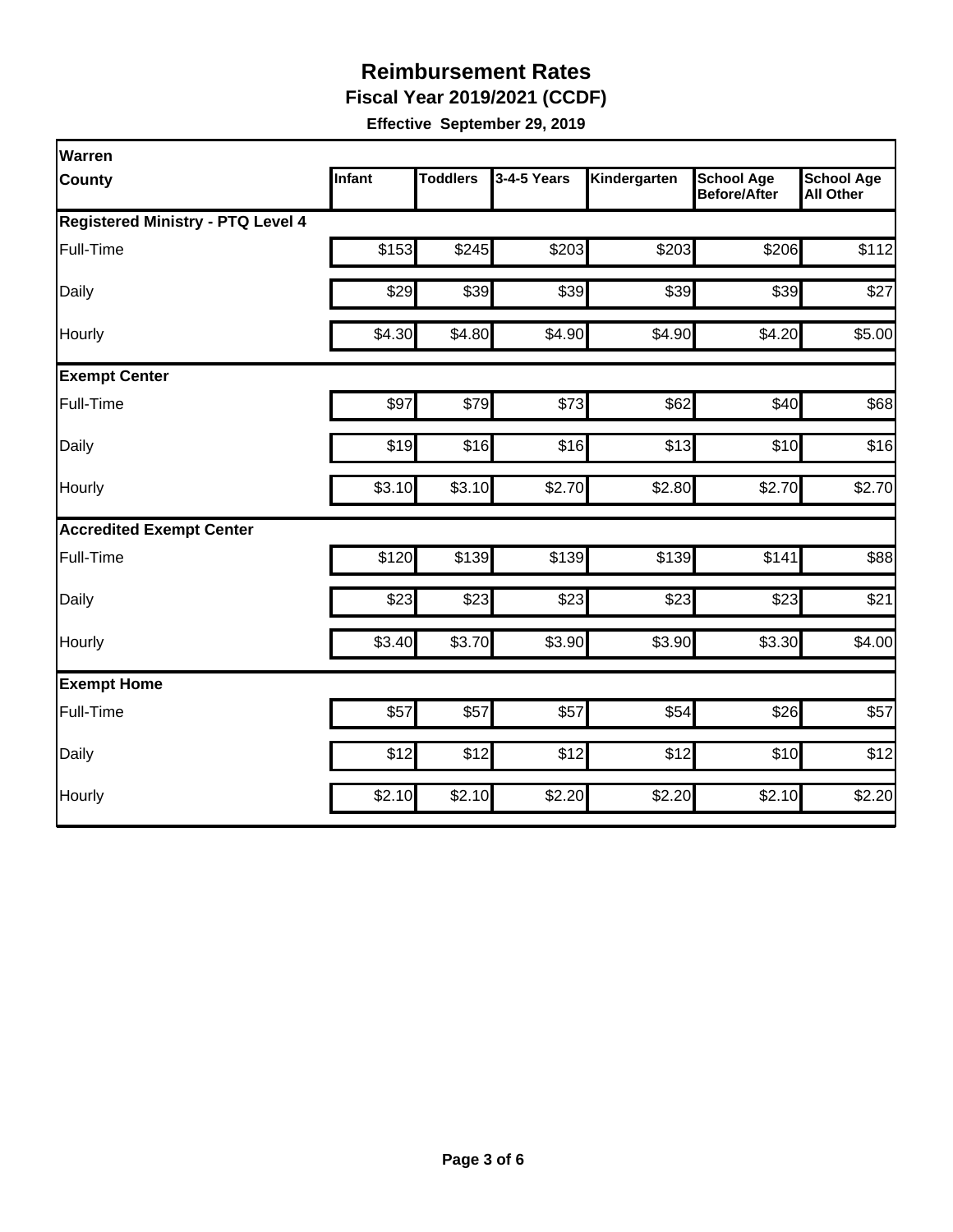**Fiscal Year 2019/2021 (CCDF)**

| Warren                                   |               |                 |             |              |                                          |                                       |
|------------------------------------------|---------------|-----------------|-------------|--------------|------------------------------------------|---------------------------------------|
| <b>County</b>                            | <b>Infant</b> | <b>Toddlers</b> | 3-4-5 Years | Kindergarten | <b>School Age</b><br><b>Before/After</b> | <b>School Age</b><br><b>All Other</b> |
| <b>Registered Ministry - PTQ Level 4</b> |               |                 |             |              |                                          |                                       |
| Full-Time                                | \$153         | \$245           | \$203       | \$203        | \$206                                    | \$112                                 |
| Daily                                    | \$29          | \$39            | \$39        | \$39         | \$39                                     | \$27                                  |
| Hourly                                   | \$4.30        | \$4.80          | \$4.90      | \$4.90       | \$4.20                                   | \$5.00                                |
| <b>Exempt Center</b>                     |               |                 |             |              |                                          |                                       |
| Full-Time                                | \$97          | \$79            | \$73        | \$62         | \$40                                     | \$68                                  |
| Daily                                    | \$19          | \$16            | \$16        | \$13         | \$10                                     | \$16                                  |
| Hourly                                   | \$3.10        | \$3.10          | \$2.70      | \$2.80       | \$2.70                                   | \$2.70                                |
| <b>Accredited Exempt Center</b>          |               |                 |             |              |                                          |                                       |
| Full-Time                                | \$120         | \$139           | \$139       | \$139        | \$141                                    | \$88                                  |
| Daily                                    | \$23          | \$23            | \$23        | \$23         | \$23                                     | \$21                                  |
| Hourly                                   | \$3.40        | \$3.70          | \$3.90      | \$3.90       | \$3.30                                   | \$4.00                                |
| <b>Exempt Home</b>                       |               |                 |             |              |                                          |                                       |
| Full-Time                                | \$57          | \$57            | \$57        | \$54         | \$26                                     | \$57                                  |
| Daily                                    | \$12          | \$12            | \$12        | \$12         | \$10                                     | \$12                                  |
| Hourly                                   | \$2.10        | \$2.10          | \$2.20      | \$2.20       | \$2.10                                   | \$2.20                                |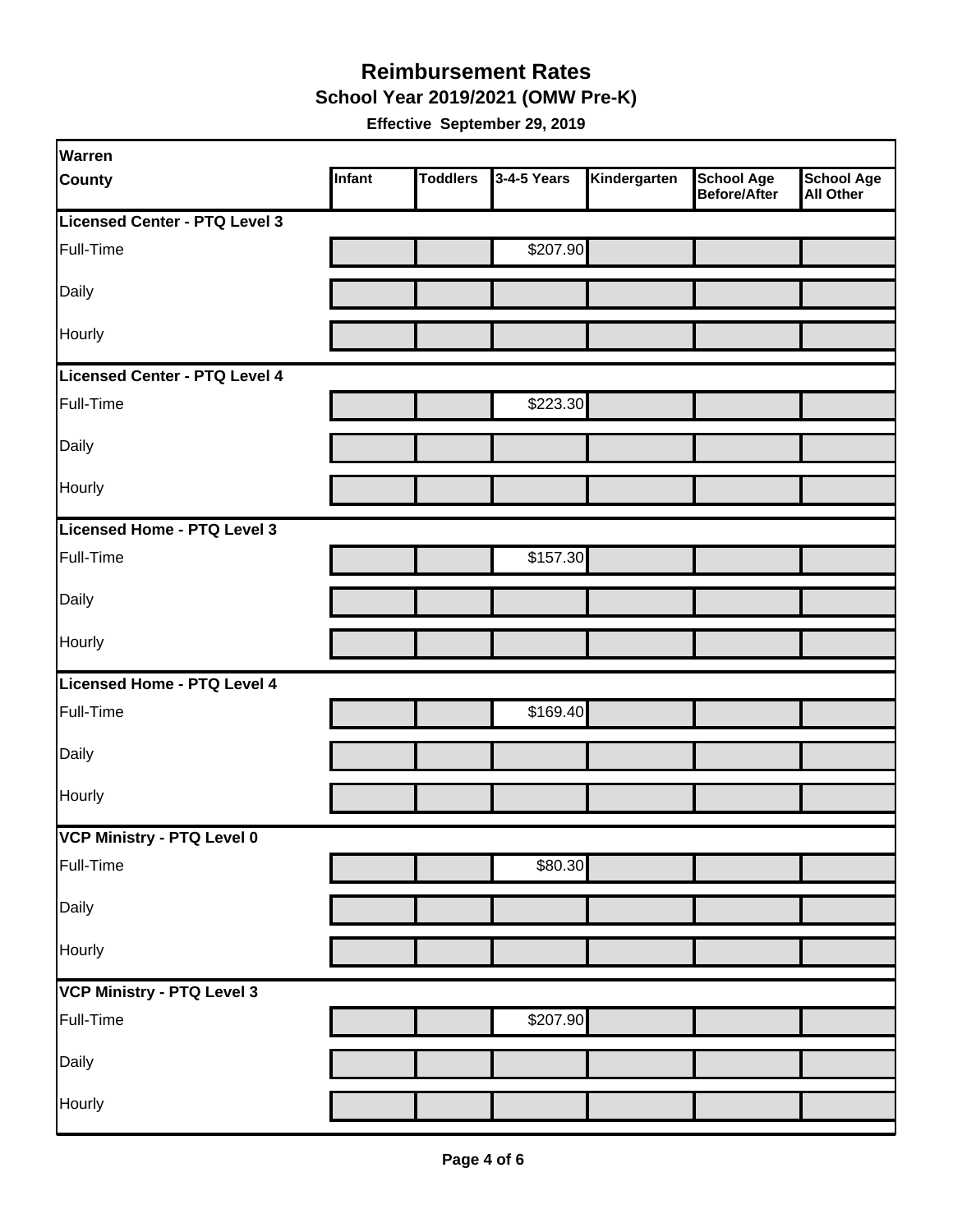**School Year 2019/2021 (OMW Pre-K)**

| Warren                        |        |                 |             |              |                                   |                                       |
|-------------------------------|--------|-----------------|-------------|--------------|-----------------------------------|---------------------------------------|
| <b>County</b>                 | Infant | <b>Toddlers</b> | 3-4-5 Years | Kindergarten | <b>School Age</b><br>Before/After | <b>School Age</b><br><b>All Other</b> |
| Licensed Center - PTQ Level 3 |        |                 |             |              |                                   |                                       |
| Full-Time                     |        |                 | \$207.90    |              |                                   |                                       |
| Daily                         |        |                 |             |              |                                   |                                       |
| Hourly                        |        |                 |             |              |                                   |                                       |
| Licensed Center - PTQ Level 4 |        |                 |             |              |                                   |                                       |
| Full-Time                     |        |                 | \$223.30    |              |                                   |                                       |
| Daily                         |        |                 |             |              |                                   |                                       |
| Hourly                        |        |                 |             |              |                                   |                                       |
| Licensed Home - PTQ Level 3   |        |                 |             |              |                                   |                                       |
| Full-Time                     |        |                 | \$157.30    |              |                                   |                                       |
| Daily                         |        |                 |             |              |                                   |                                       |
| Hourly                        |        |                 |             |              |                                   |                                       |
| Licensed Home - PTQ Level 4   |        |                 |             |              |                                   |                                       |
| Full-Time                     |        |                 | \$169.40    |              |                                   |                                       |
| Daily                         |        |                 |             |              |                                   |                                       |
| Hourly                        |        |                 |             |              |                                   |                                       |
| VCP Ministry - PTQ Level 0    |        |                 |             |              |                                   |                                       |
| Full-Time                     |        |                 | \$80.30     |              |                                   |                                       |
| Daily                         |        |                 |             |              |                                   |                                       |
| Hourly                        |        |                 |             |              |                                   |                                       |
| VCP Ministry - PTQ Level 3    |        |                 |             |              |                                   |                                       |
| Full-Time                     |        |                 | \$207.90    |              |                                   |                                       |
| Daily                         |        |                 |             |              |                                   |                                       |
| Hourly                        |        |                 |             |              |                                   |                                       |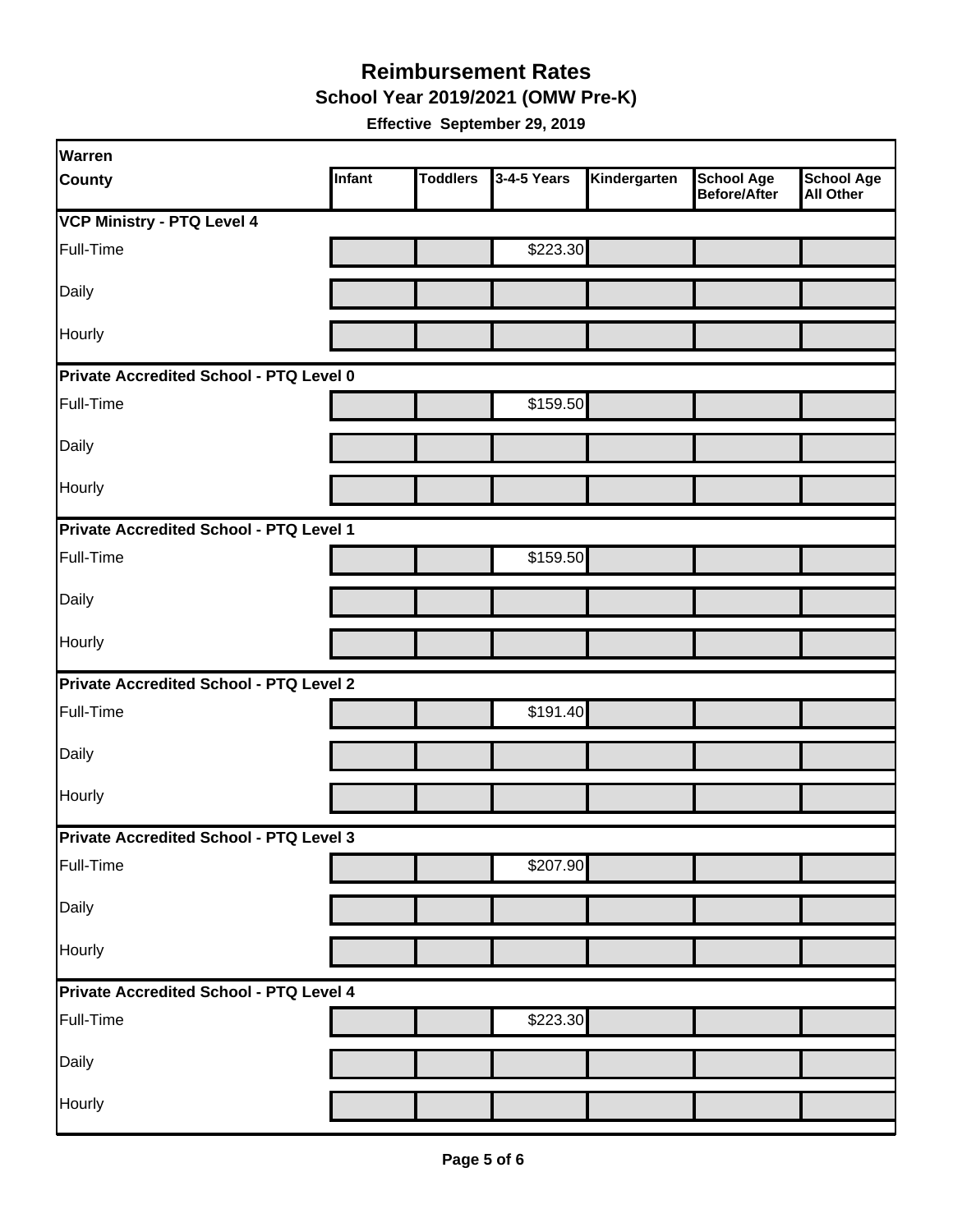**School Year 2019/2021 (OMW Pre-K)**

| Warren                                         |        |                 |             |              |                                   |                                       |
|------------------------------------------------|--------|-----------------|-------------|--------------|-----------------------------------|---------------------------------------|
| <b>County</b>                                  | Infant | <b>Toddlers</b> | 3-4-5 Years | Kindergarten | <b>School Age</b><br>Before/After | <b>School Age</b><br><b>All Other</b> |
| <b>VCP Ministry - PTQ Level 4</b>              |        |                 |             |              |                                   |                                       |
| Full-Time                                      |        |                 | \$223.30    |              |                                   |                                       |
| Daily                                          |        |                 |             |              |                                   |                                       |
| Hourly                                         |        |                 |             |              |                                   |                                       |
| Private Accredited School - PTQ Level 0        |        |                 |             |              |                                   |                                       |
| Full-Time                                      |        |                 | \$159.50    |              |                                   |                                       |
| Daily                                          |        |                 |             |              |                                   |                                       |
| Hourly                                         |        |                 |             |              |                                   |                                       |
| Private Accredited School - PTQ Level 1        |        |                 |             |              |                                   |                                       |
| Full-Time                                      |        |                 | \$159.50    |              |                                   |                                       |
| Daily                                          |        |                 |             |              |                                   |                                       |
| Hourly                                         |        |                 |             |              |                                   |                                       |
| <b>Private Accredited School - PTQ Level 2</b> |        |                 |             |              |                                   |                                       |
| Full-Time                                      |        |                 | \$191.40    |              |                                   |                                       |
| Daily                                          |        |                 |             |              |                                   |                                       |
| Hourly                                         |        |                 |             |              |                                   |                                       |
| <b>Private Accredited School - PTQ Level 3</b> |        |                 |             |              |                                   |                                       |
| Full-Time                                      |        |                 | \$207.90    |              |                                   |                                       |
| Daily                                          |        |                 |             |              |                                   |                                       |
| Hourly                                         |        |                 |             |              |                                   |                                       |
| Private Accredited School - PTQ Level 4        |        |                 |             |              |                                   |                                       |
| Full-Time                                      |        |                 | \$223.30    |              |                                   |                                       |
| Daily                                          |        |                 |             |              |                                   |                                       |
| Hourly                                         |        |                 |             |              |                                   |                                       |